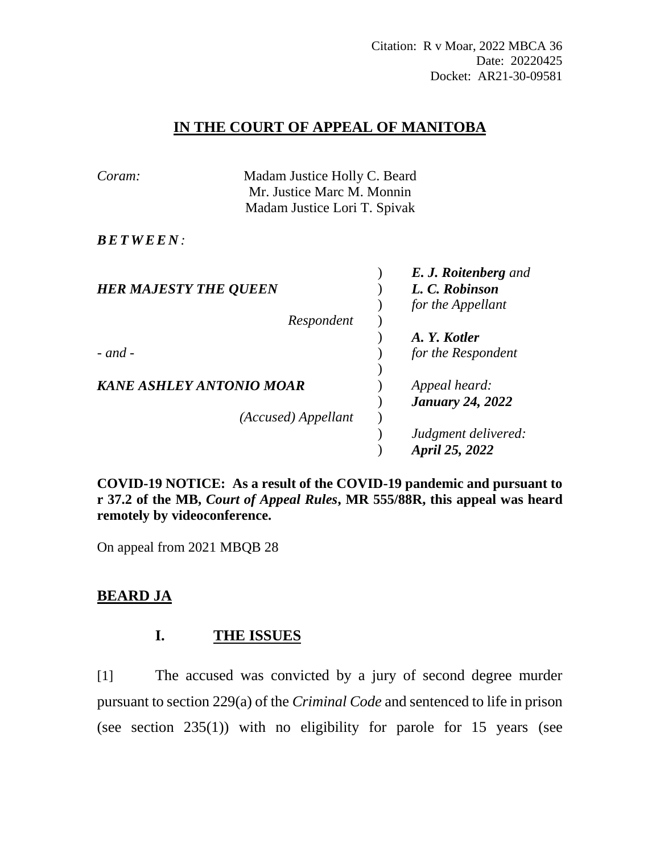## **IN THE COURT OF APPEAL OF MANITOBA**

| Coram:                       | Madam Justice Holly C. Beard |  |                             |
|------------------------------|------------------------------|--|-----------------------------|
|                              | Mr. Justice Marc M. Monnin   |  |                             |
|                              | Madam Justice Lori T. Spivak |  |                             |
| <i>BETWEEN:</i>              |                              |  |                             |
|                              |                              |  | <b>E. J. Roitenberg</b> and |
| <b>HER MAJESTY THE QUEEN</b> |                              |  | L. C. Robinson              |
|                              |                              |  | for the Appellant           |
|                              | Respondent                   |  |                             |
|                              |                              |  | A. Y. Kotler                |
| $-$ and $-$                  |                              |  | for the Respondent          |
|                              |                              |  |                             |
| KANE ASHLEY ANTONIO MOAR     |                              |  | Appeal heard:               |
|                              |                              |  | <b>January 24, 2022</b>     |
|                              | (Accused) Appellant          |  |                             |
|                              |                              |  | Judgment delivered:         |
|                              |                              |  | April 25, 2022              |

**COVID-19 NOTICE: As a result of the COVID-19 pandemic and pursuant to r 37.2 of the MB,** *Court of Appeal Rules***, MR 555/88R, this appeal was heard remotely by videoconference.**

On appeal from 2021 MBQB 28

# **BEARD JA**

# **I. THE ISSUES**

[1] The accused was convicted by a jury of second degree murder pursuant to section 229(a) of the *Criminal Code* and sentenced to life in prison (see section 235(1)) with no eligibility for parole for 15 years (see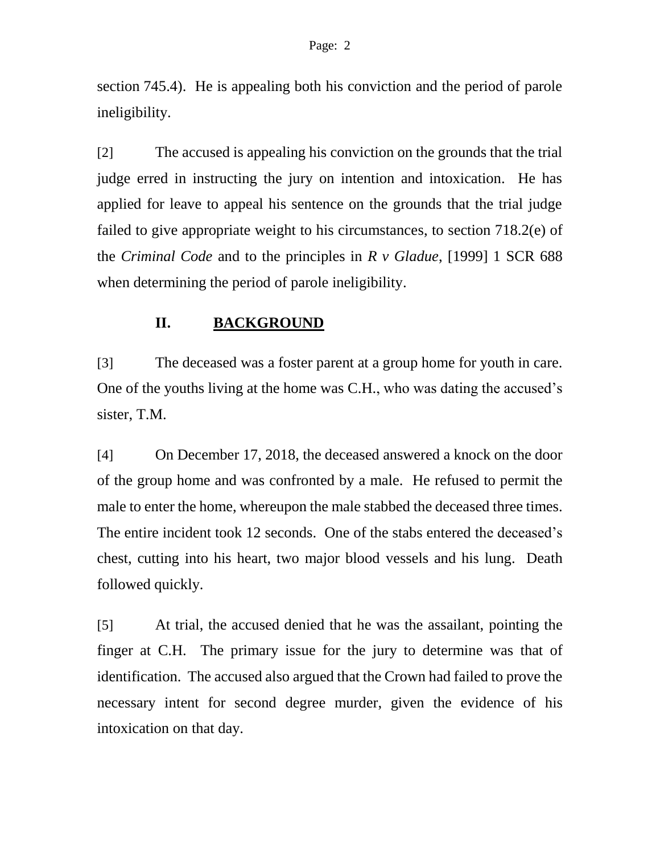section 745.4). He is appealing both his conviction and the period of parole ineligibility.

[2] The accused is appealing his conviction on the grounds that the trial judge erred in instructing the jury on intention and intoxication. He has applied for leave to appeal his sentence on the grounds that the trial judge failed to give appropriate weight to his circumstances, to section 718.2(e) of the *Criminal Code* and to the principles in *R v Gladue*, [1999] 1 SCR 688 when determining the period of parole ineligibility.

# **II. BACKGROUND**

[3] The deceased was a foster parent at a group home for youth in care. One of the youths living at the home was C.H., who was dating the accused's sister, T.M.

[4] On December 17, 2018, the deceased answered a knock on the door of the group home and was confronted by a male. He refused to permit the male to enter the home, whereupon the male stabbed the deceased three times. The entire incident took 12 seconds. One of the stabs entered the deceased's chest, cutting into his heart, two major blood vessels and his lung. Death followed quickly.

[5] At trial, the accused denied that he was the assailant, pointing the finger at C.H. The primary issue for the jury to determine was that of identification. The accused also argued that the Crown had failed to prove the necessary intent for second degree murder, given the evidence of his intoxication on that day.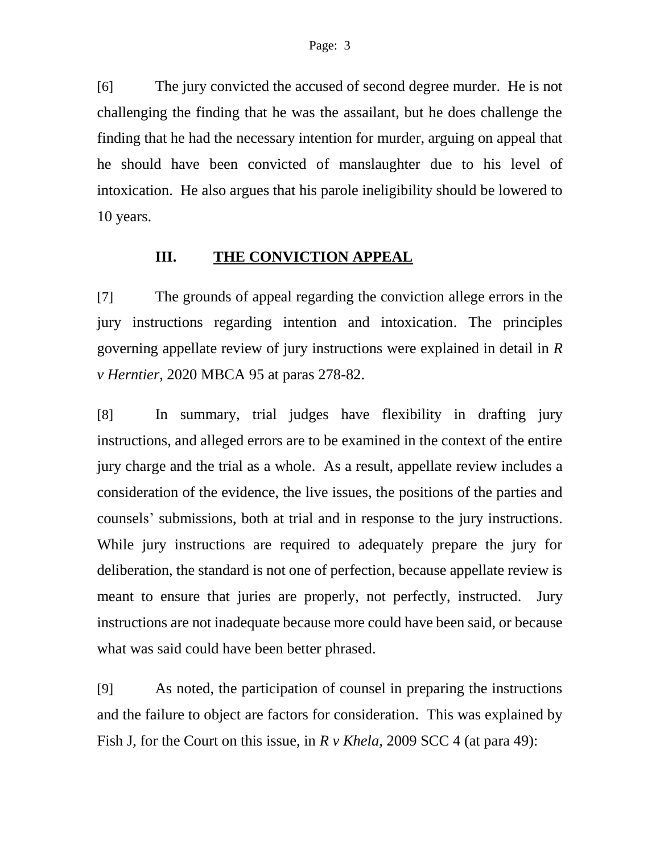[6] The jury convicted the accused of second degree murder. He is not challenging the finding that he was the assailant, but he does challenge the finding that he had the necessary intention for murder, arguing on appeal that he should have been convicted of manslaughter due to his level of intoxication. He also argues that his parole ineligibility should be lowered to 10 years.

# **III. THE CONVICTION APPEAL**

[7] The grounds of appeal regarding the conviction allege errors in the jury instructions regarding intention and intoxication. The principles governing appellate review of jury instructions were explained in detail in *R v Herntier*, 2020 MBCA 95 at paras 278-82.

[8] In summary, trial judges have flexibility in drafting jury instructions, and alleged errors are to be examined in the context of the entire jury charge and the trial as a whole. As a result, appellate review includes a consideration of the evidence, the live issues, the positions of the parties and counsels' submissions, both at trial and in response to the jury instructions. While jury instructions are required to adequately prepare the jury for deliberation, the standard is not one of perfection, because appellate review is meant to ensure that juries are properly, not perfectly, instructed. Jury instructions are not inadequate because more could have been said, or because what was said could have been better phrased.

[9] As noted, the participation of counsel in preparing the instructions and the failure to object are factors for consideration. This was explained by Fish J, for the Court on this issue, in *R v Khela*, 2009 SCC 4 (at para 49):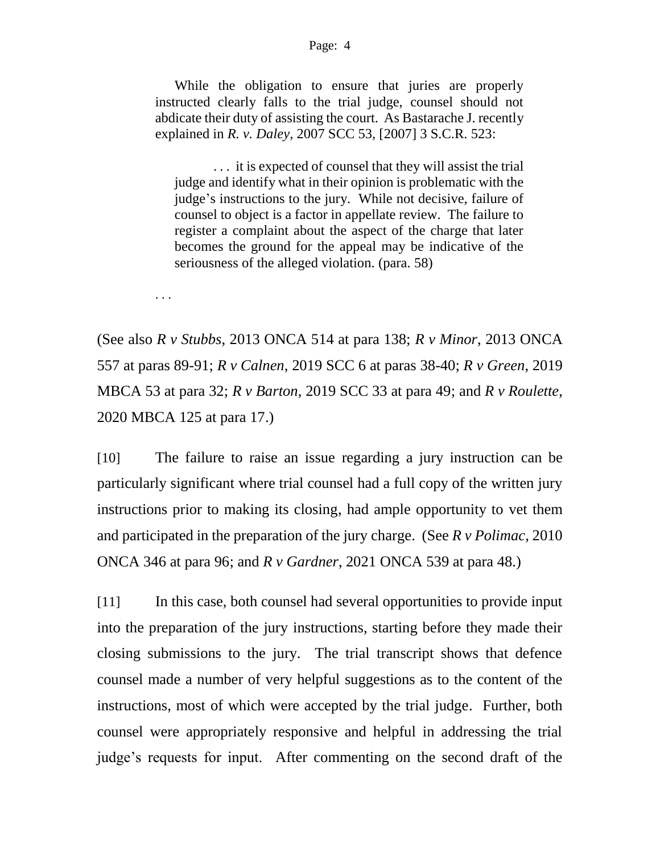#### Page: 4

While the obligation to ensure that juries are properly instructed clearly falls to the trial judge, counsel should not abdicate their duty of assisting the court. As Bastarache J. recently explained in *R. v. Daley*, 2007 SCC 53, [2007] 3 S.C.R. 523:

. . . it is expected of counsel that they will assist the trial judge and identify what in their opinion is problematic with the judge's instructions to the jury. While not decisive, failure of counsel to object is a factor in appellate review. The failure to register a complaint about the aspect of the charge that later becomes the ground for the appeal may be indicative of the seriousness of the alleged violation. (para. 58)

. . .

(See also *R v Stubbs*, 2013 ONCA 514 at para 138; *R v Minor*, 2013 ONCA 557 at paras 89-91; *R v Calnen*, 2019 SCC 6 at paras 38-40; *R v Green*, 2019 MBCA 53 at para 32; *R v Barton*, 2019 SCC 33 at para 49; and *R v Roulette*, 2020 MBCA 125 at para 17.)

[10] The failure to raise an issue regarding a jury instruction can be particularly significant where trial counsel had a full copy of the written jury instructions prior to making its closing, had ample opportunity to vet them and participated in the preparation of the jury charge. (See *R v Polimac*, 2010 ONCA 346 at para 96; and *R v Gardner*, 2021 ONCA 539 at para 48.)

[11] In this case, both counsel had several opportunities to provide input into the preparation of the jury instructions, starting before they made their closing submissions to the jury. The trial transcript shows that defence counsel made a number of very helpful suggestions as to the content of the instructions, most of which were accepted by the trial judge. Further, both counsel were appropriately responsive and helpful in addressing the trial judge's requests for input. After commenting on the second draft of the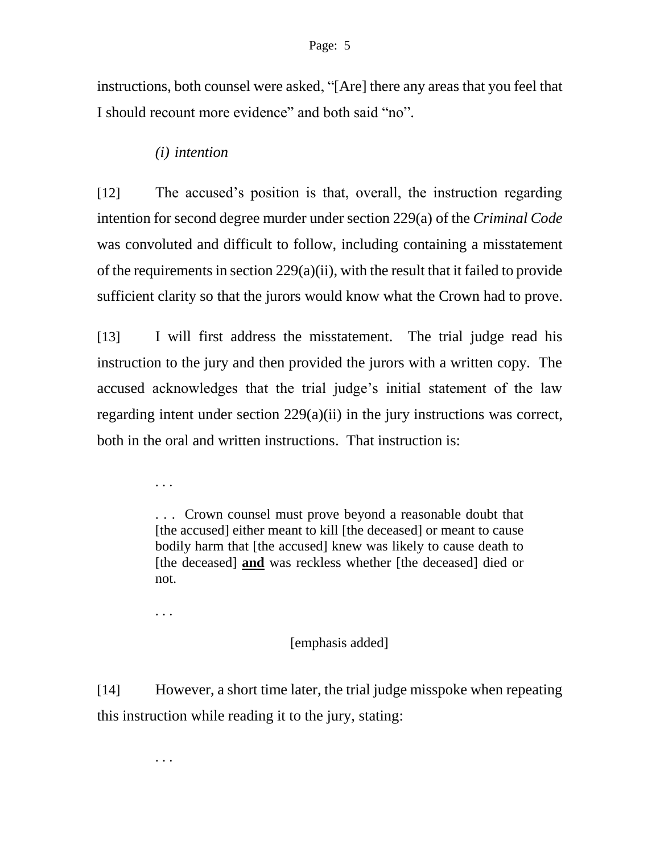instructions, both counsel were asked, "[Are] there any areas that you feel that I should recount more evidence" and both said "no".

## *(i) intention*

[12] The accused's position is that, overall, the instruction regarding intention for second degree murder under section 229(a) of the *Criminal Code*  was convoluted and difficult to follow, including containing a misstatement of the requirements in section 229(a)(ii), with the result that it failed to provide sufficient clarity so that the jurors would know what the Crown had to prove.

[13] I will first address the misstatement. The trial judge read his instruction to the jury and then provided the jurors with a written copy. The accused acknowledges that the trial judge's initial statement of the law regarding intent under section 229(a)(ii) in the jury instructions was correct, both in the oral and written instructions. That instruction is:

. . .

. . . Crown counsel must prove beyond a reasonable doubt that [the accused] either meant to kill [the deceased] or meant to cause bodily harm that [the accused] knew was likely to cause death to [the deceased] **and** was reckless whether [the deceased] died or not.

. . .

## [emphasis added]

[14] However, a short time later, the trial judge misspoke when repeating this instruction while reading it to the jury, stating:

. . .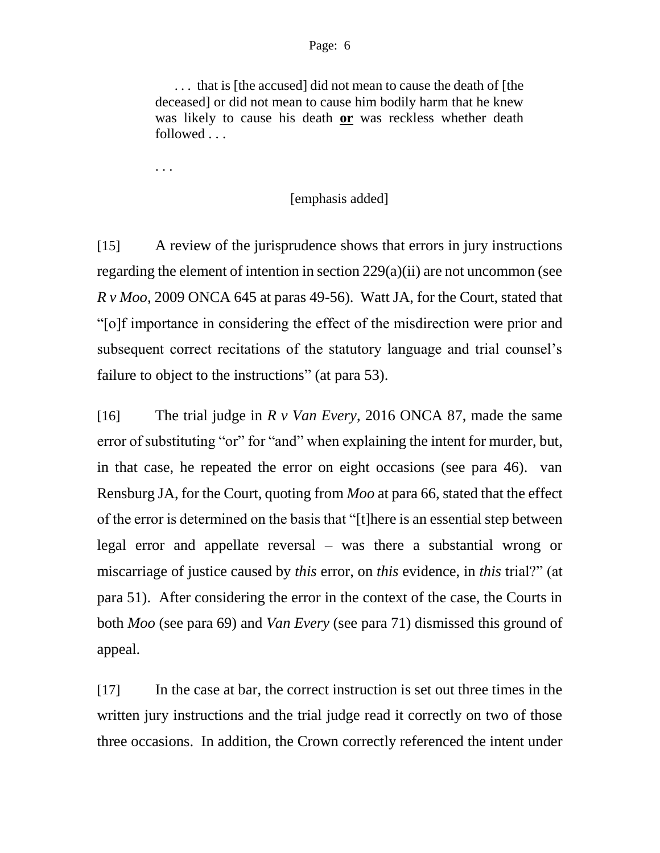. . . that is [the accused] did not mean to cause the death of [the deceased] or did not mean to cause him bodily harm that he knew was likely to cause his death **or** was reckless whether death followed . . .

. . .

### [emphasis added]

[15] A review of the jurisprudence shows that errors in jury instructions regarding the element of intention in section 229(a)(ii) are not uncommon (see *R v Moo*, 2009 ONCA 645 at paras 49-56). Watt JA, for the Court, stated that "[o]f importance in considering the effect of the misdirection were prior and subsequent correct recitations of the statutory language and trial counsel's failure to object to the instructions" (at para 53).

[16] The trial judge in *R v Van Every*, 2016 ONCA 87, made the same error of substituting "or" for "and" when explaining the intent for murder, but, in that case, he repeated the error on eight occasions (see para 46). van Rensburg JA, for the Court, quoting from *Moo* at para 66, stated that the effect of the error is determined on the basis that "[t]here is an essential step between legal error and appellate reversal – was there a substantial wrong or miscarriage of justice caused by *this* error, on *this* evidence, in *this* trial?" (at para 51). After considering the error in the context of the case, the Courts in both *Moo* (see para 69) and *Van Every* (see para 71) dismissed this ground of appeal.

[17] In the case at bar, the correct instruction is set out three times in the written jury instructions and the trial judge read it correctly on two of those three occasions. In addition, the Crown correctly referenced the intent under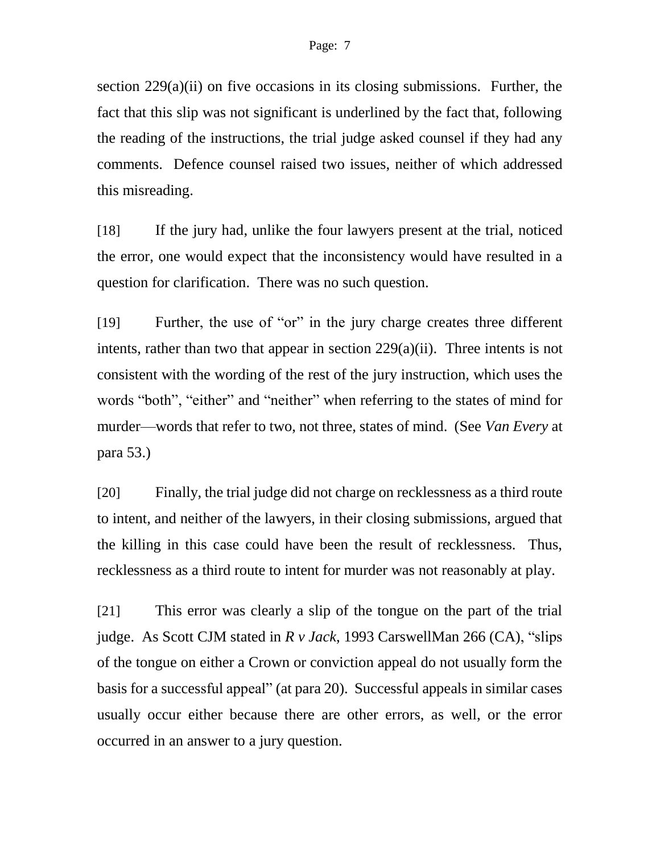section 229(a)(ii) on five occasions in its closing submissions. Further, the fact that this slip was not significant is underlined by the fact that, following the reading of the instructions, the trial judge asked counsel if they had any comments. Defence counsel raised two issues, neither of which addressed this misreading.

[18] If the jury had, unlike the four lawyers present at the trial, noticed the error, one would expect that the inconsistency would have resulted in a question for clarification. There was no such question.

[19] Further, the use of "or" in the jury charge creates three different intents, rather than two that appear in section 229(a)(ii). Three intents is not consistent with the wording of the rest of the jury instruction, which uses the words "both", "either" and "neither" when referring to the states of mind for murder—words that refer to two, not three, states of mind. (See *Van Every* at para 53.)

[20] Finally, the trial judge did not charge on recklessness as a third route to intent, and neither of the lawyers, in their closing submissions, argued that the killing in this case could have been the result of recklessness. Thus, recklessness as a third route to intent for murder was not reasonably at play.

[21] This error was clearly a slip of the tongue on the part of the trial judge. As Scott CJM stated in *R v Jack*, 1993 CarswellMan 266 (CA), "slips of the tongue on either a Crown or conviction appeal do not usually form the basis for a successful appeal" (at para 20). Successful appeals in similar cases usually occur either because there are other errors, as well, or the error occurred in an answer to a jury question.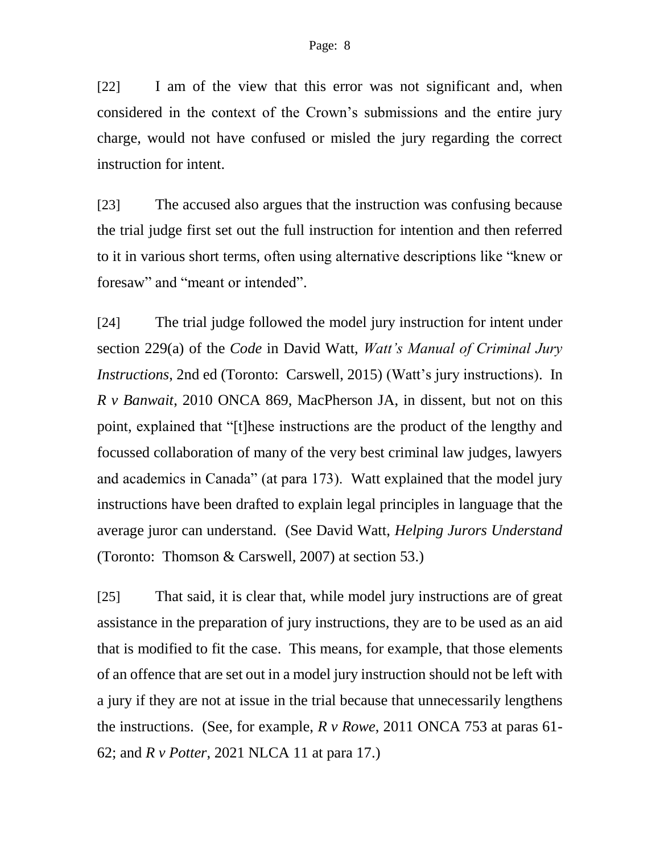[22] I am of the view that this error was not significant and, when considered in the context of the Crown's submissions and the entire jury charge, would not have confused or misled the jury regarding the correct instruction for intent.

[23] The accused also argues that the instruction was confusing because the trial judge first set out the full instruction for intention and then referred to it in various short terms, often using alternative descriptions like "knew or foresaw" and "meant or intended".

[24] The trial judge followed the model jury instruction for intent under section 229(a) of the *Code* in David Watt, *Watt's Manual of Criminal Jury Instructions*, 2nd ed (Toronto: Carswell, 2015) (Watt's jury instructions). In *R v Banwait*, 2010 ONCA 869, MacPherson JA, in dissent, but not on this point, explained that "[t]hese instructions are the product of the lengthy and focussed collaboration of many of the very best criminal law judges, lawyers and academics in Canada" (at para 173). Watt explained that the model jury instructions have been drafted to explain legal principles in language that the average juror can understand. (See David Watt, *Helping Jurors Understand* (Toronto: Thomson & Carswell, 2007) at section 53.)

[25] That said, it is clear that, while model jury instructions are of great assistance in the preparation of jury instructions, they are to be used as an aid that is modified to fit the case. This means, for example, that those elements of an offence that are set out in a model jury instruction should not be left with a jury if they are not at issue in the trial because that unnecessarily lengthens the instructions. (See, for example, *R v Rowe*, 2011 ONCA 753 at paras 61- 62; and *R v Potter*, 2021 NLCA 11 at para 17.)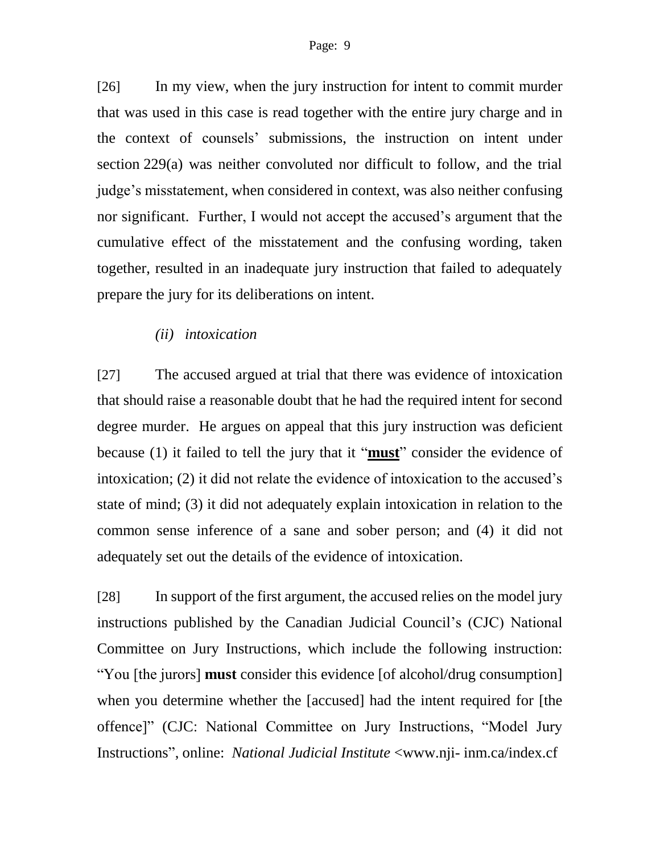[26] In my view, when the jury instruction for intent to commit murder that was used in this case is read together with the entire jury charge and in the context of counsels' submissions, the instruction on intent under section 229(a) was neither convoluted nor difficult to follow, and the trial judge's misstatement, when considered in context, was also neither confusing nor significant. Further, I would not accept the accused's argument that the cumulative effect of the misstatement and the confusing wording, taken together, resulted in an inadequate jury instruction that failed to adequately prepare the jury for its deliberations on intent.

### *(ii) intoxication*

[27] The accused argued at trial that there was evidence of intoxication that should raise a reasonable doubt that he had the required intent for second degree murder. He argues on appeal that this jury instruction was deficient because (1) it failed to tell the jury that it "**must**" consider the evidence of intoxication; (2) it did not relate the evidence of intoxication to the accused's state of mind; (3) it did not adequately explain intoxication in relation to the common sense inference of a sane and sober person; and (4) it did not adequately set out the details of the evidence of intoxication.

[28] In support of the first argument, the accused relies on the model jury instructions published by the Canadian Judicial Council's (CJC) National Committee on Jury Instructions, which include the following instruction: "You [the jurors] **must** consider this evidence [of alcohol/drug consumption] when you determine whether the [accused] had the intent required for [the offence]" (CJC: National Committee on Jury Instructions, "Model Jury Instructions", online: *National Judicial Institute* <www.nji- inm.ca/index.cf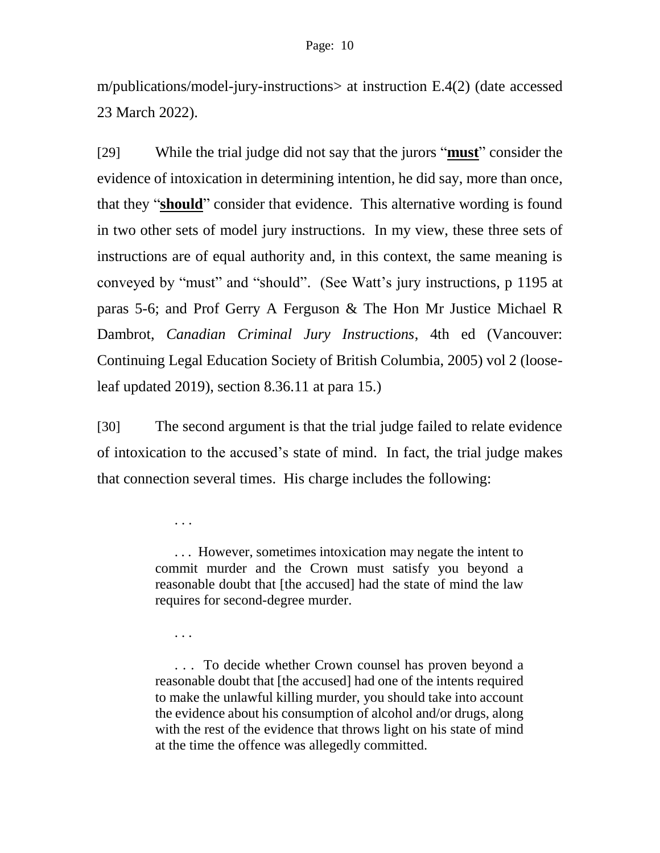m/publications/model-jury-instructions> at instruction E.4(2) (date accessed 23 March 2022).

[29] While the trial judge did not say that the jurors "**must**" consider the evidence of intoxication in determining intention, he did say, more than once, that they "**should**" consider that evidence. This alternative wording is found in two other sets of model jury instructions. In my view, these three sets of instructions are of equal authority and, in this context, the same meaning is conveyed by "must" and "should". (See Watt's jury instructions, p 1195 at paras 5-6; and Prof Gerry A Ferguson & The Hon Mr Justice Michael R Dambrot, *Canadian Criminal Jury Instructions*, 4th ed (Vancouver: Continuing Legal Education Society of British Columbia, 2005) vol 2 (looseleaf updated 2019), section 8.36.11 at para 15.)

[30] The second argument is that the trial judge failed to relate evidence of intoxication to the accused's state of mind. In fact, the trial judge makes that connection several times. His charge includes the following:

> . . . However, sometimes intoxication may negate the intent to commit murder and the Crown must satisfy you beyond a reasonable doubt that [the accused] had the state of mind the law requires for second-degree murder.

. . .

. . .

. . . To decide whether Crown counsel has proven beyond a reasonable doubt that [the accused] had one of the intents required to make the unlawful killing murder, you should take into account the evidence about his consumption of alcohol and/or drugs, along with the rest of the evidence that throws light on his state of mind at the time the offence was allegedly committed.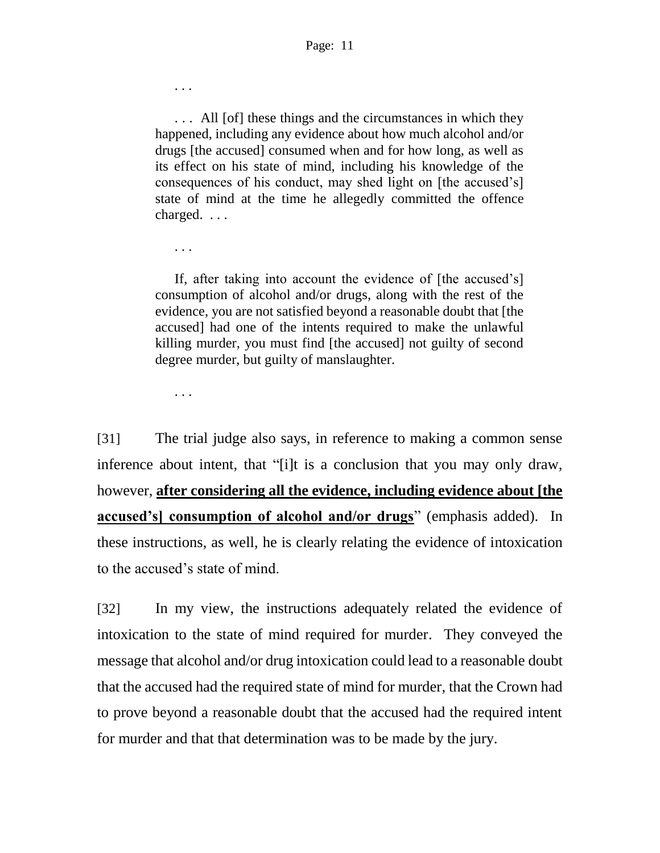. . . All [of] these things and the circumstances in which they happened, including any evidence about how much alcohol and/or drugs [the accused] consumed when and for how long, as well as its effect on his state of mind, including his knowledge of the consequences of his conduct, may shed light on [the accused's] state of mind at the time he allegedly committed the offence charged. . . .

If, after taking into account the evidence of [the accused's] consumption of alcohol and/or drugs, along with the rest of the evidence, you are not satisfied beyond a reasonable doubt that [the accused] had one of the intents required to make the unlawful killing murder, you must find [the accused] not guilty of second degree murder, but guilty of manslaughter.

. . .

. . .

. . .

[31] The trial judge also says, in reference to making a common sense inference about intent, that "[i]t is a conclusion that you may only draw, however, **after considering all the evidence, including evidence about [the accused's** consumption of alcohol and/or drugs" (emphasis added). In these instructions, as well, he is clearly relating the evidence of intoxication to the accused's state of mind.

[32] In my view, the instructions adequately related the evidence of intoxication to the state of mind required for murder. They conveyed the message that alcohol and/or drug intoxication could lead to a reasonable doubt that the accused had the required state of mind for murder, that the Crown had to prove beyond a reasonable doubt that the accused had the required intent for murder and that that determination was to be made by the jury.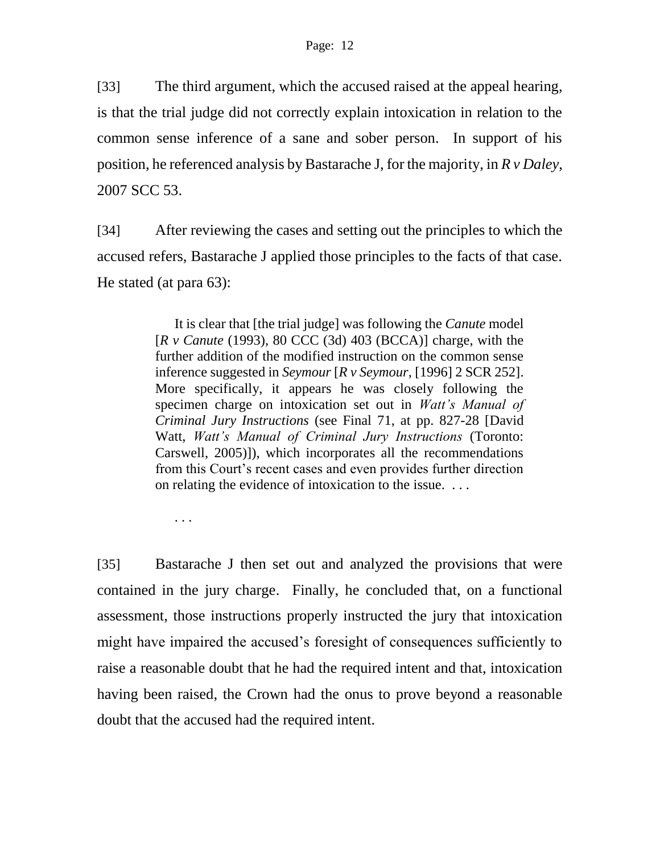[33] The third argument, which the accused raised at the appeal hearing, is that the trial judge did not correctly explain intoxication in relation to the common sense inference of a sane and sober person. In support of his position, he referenced analysis by Bastarache J, for the majority, in *R v Daley*, 2007 SCC 53.

[34] After reviewing the cases and setting out the principles to which the accused refers, Bastarache J applied those principles to the facts of that case. He stated (at para 63):

> It is clear that [the trial judge] was following the *Canute* model [*R v Canute* (1993), 80 CCC (3d) 403 (BCCA)] charge, with the further addition of the modified instruction on the common sense inference suggested in *Seymour* [*R v Seymour*, [1996] 2 SCR 252]. More specifically, it appears he was closely following the specimen charge on intoxication set out in *Watt's Manual of Criminal Jury Instructions* (see Final 71, at pp. 827-28 [David Watt, *Watt's Manual of Criminal Jury Instructions* (Toronto: Carswell, 2005)]), which incorporates all the recommendations from this Court's recent cases and even provides further direction on relating the evidence of intoxication to the issue. . . .

. . .

[35] Bastarache J then set out and analyzed the provisions that were contained in the jury charge. Finally, he concluded that, on a functional assessment, those instructions properly instructed the jury that intoxication might have impaired the accused's foresight of consequences sufficiently to raise a reasonable doubt that he had the required intent and that, intoxication having been raised, the Crown had the onus to prove beyond a reasonable doubt that the accused had the required intent.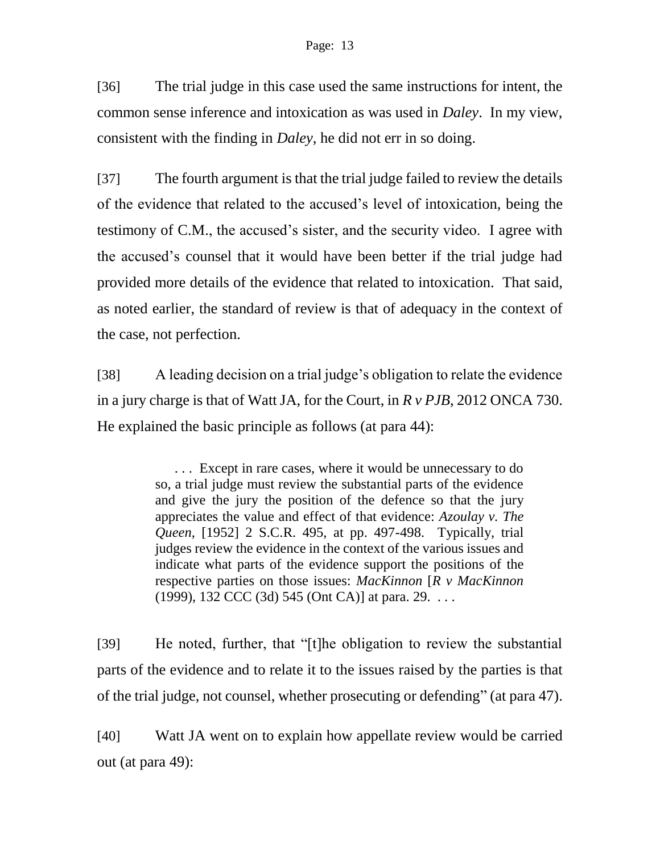[36] The trial judge in this case used the same instructions for intent, the common sense inference and intoxication as was used in *Daley*. In my view, consistent with the finding in *Daley*, he did not err in so doing.

[37] The fourth argument is that the trial judge failed to review the details of the evidence that related to the accused's level of intoxication, being the testimony of C.M., the accused's sister, and the security video. I agree with the accused's counsel that it would have been better if the trial judge had provided more details of the evidence that related to intoxication. That said, as noted earlier, the standard of review is that of adequacy in the context of the case, not perfection.

[38] A leading decision on a trial judge's obligation to relate the evidence in a jury charge is that of Watt JA, for the Court, in *R v PJB*, 2012 ONCA 730. He explained the basic principle as follows (at para 44):

> . . . Except in rare cases, where it would be unnecessary to do so, a trial judge must review the substantial parts of the evidence and give the jury the position of the defence so that the jury appreciates the value and effect of that evidence: *Azoulay v. The Queen*, [1952] 2 S.C.R. 495, at pp. 497-498. Typically, trial judges review the evidence in the context of the various issues and indicate what parts of the evidence support the positions of the respective parties on those issues: *MacKinnon* [*R v MacKinnon* (1999), 132 CCC (3d) 545 (Ont CA)] at para. 29. . . .

[39] He noted, further, that "[t]he obligation to review the substantial parts of the evidence and to relate it to the issues raised by the parties is that of the trial judge, not counsel, whether prosecuting or defending" (at para 47).

[40] Watt JA went on to explain how appellate review would be carried out (at para 49):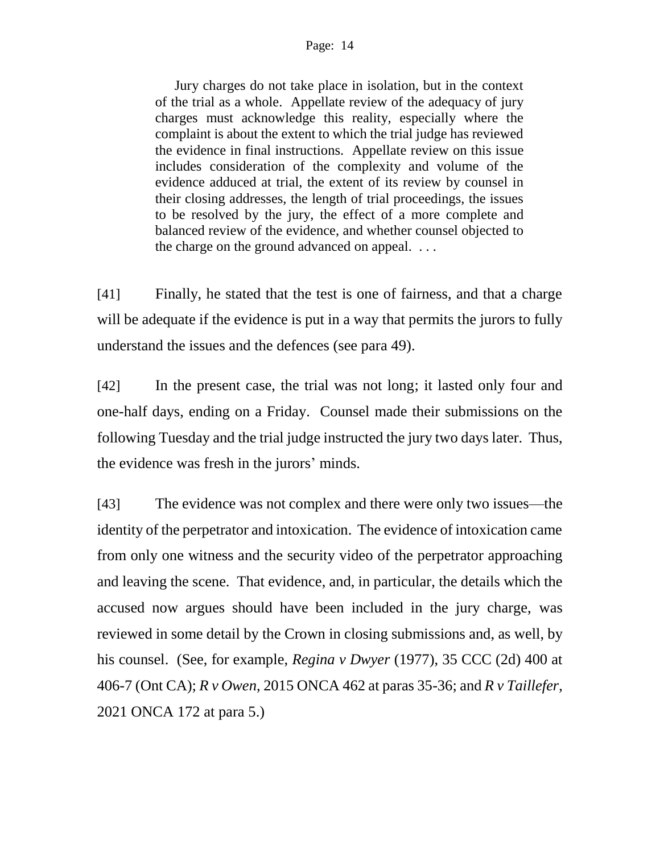#### Page: 14

Jury charges do not take place in isolation, but in the context of the trial as a whole. Appellate review of the adequacy of jury charges must acknowledge this reality, especially where the complaint is about the extent to which the trial judge has reviewed the evidence in final instructions. Appellate review on this issue includes consideration of the complexity and volume of the evidence adduced at trial, the extent of its review by counsel in their closing addresses, the length of trial proceedings, the issues to be resolved by the jury, the effect of a more complete and balanced review of the evidence, and whether counsel objected to the charge on the ground advanced on appeal. . . .

[41] Finally, he stated that the test is one of fairness, and that a charge will be adequate if the evidence is put in a way that permits the jurors to fully understand the issues and the defences (see para 49).

[42] In the present case, the trial was not long; it lasted only four and one-half days, ending on a Friday. Counsel made their submissions on the following Tuesday and the trial judge instructed the jury two days later. Thus, the evidence was fresh in the jurors' minds.

[43] The evidence was not complex and there were only two issues—the identity of the perpetrator and intoxication. The evidence of intoxication came from only one witness and the security video of the perpetrator approaching and leaving the scene. That evidence, and, in particular, the details which the accused now argues should have been included in the jury charge, was reviewed in some detail by the Crown in closing submissions and, as well, by his counsel. (See, for example, *Regina v Dwyer* (1977), 35 CCC (2d) 400 at 406-7 (Ont CA); *R v Owen*, 2015 ONCA 462 at paras 35-36; and *R v Taillefer*, 2021 ONCA 172 at para 5.)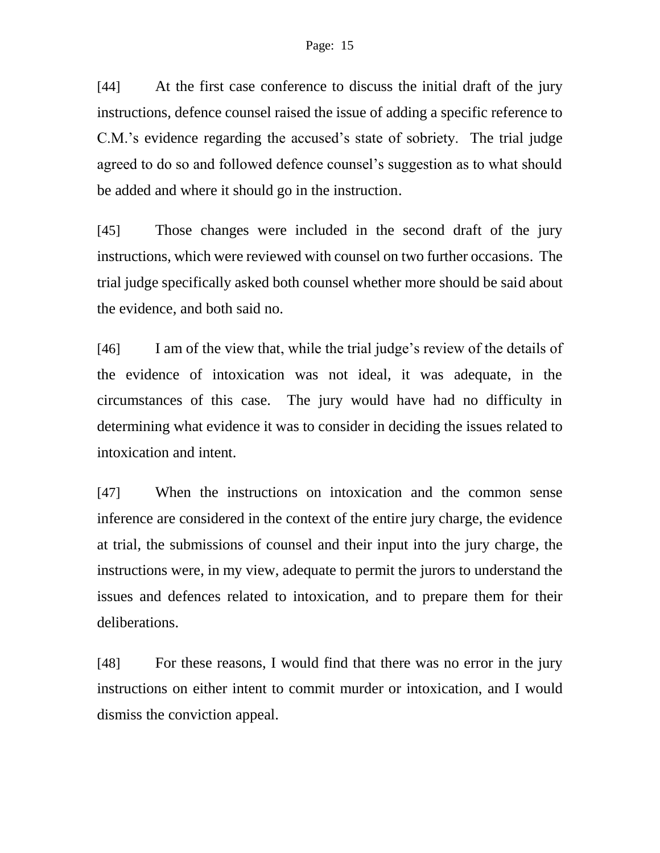[44] At the first case conference to discuss the initial draft of the jury instructions, defence counsel raised the issue of adding a specific reference to C.M.'s evidence regarding the accused's state of sobriety. The trial judge agreed to do so and followed defence counsel's suggestion as to what should be added and where it should go in the instruction.

[45] Those changes were included in the second draft of the jury instructions, which were reviewed with counsel on two further occasions. The trial judge specifically asked both counsel whether more should be said about the evidence, and both said no.

[46] I am of the view that, while the trial judge's review of the details of the evidence of intoxication was not ideal, it was adequate, in the circumstances of this case. The jury would have had no difficulty in determining what evidence it was to consider in deciding the issues related to intoxication and intent.

[47] When the instructions on intoxication and the common sense inference are considered in the context of the entire jury charge, the evidence at trial, the submissions of counsel and their input into the jury charge, the instructions were, in my view, adequate to permit the jurors to understand the issues and defences related to intoxication, and to prepare them for their deliberations.

[48] For these reasons, I would find that there was no error in the jury instructions on either intent to commit murder or intoxication, and I would dismiss the conviction appeal.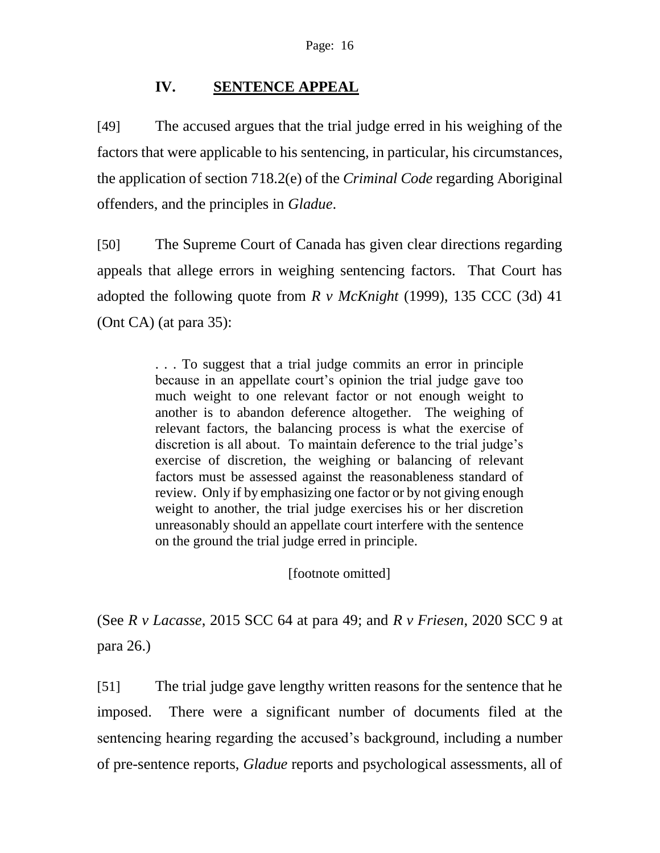# **IV. SENTENCE APPEAL**

[49] The accused argues that the trial judge erred in his weighing of the factors that were applicable to his sentencing, in particular, his circumstances, the application of section 718.2(e) of the *Criminal Code* regarding Aboriginal offenders, and the principles in *Gladue*.

[50] The Supreme Court of Canada has given clear directions regarding appeals that allege errors in weighing sentencing factors. That Court has adopted the following quote from *R v McKnight* (1999), 135 CCC (3d) 41 (Ont CA) (at para 35):

> . . . To suggest that a trial judge commits an error in principle because in an appellate court's opinion the trial judge gave too much weight to one relevant factor or not enough weight to another is to abandon deference altogether. The weighing of relevant factors, the balancing process is what the exercise of discretion is all about. To maintain deference to the trial judge's exercise of discretion, the weighing or balancing of relevant factors must be assessed against the reasonableness standard of review. Only if by emphasizing one factor or by not giving enough weight to another, the trial judge exercises his or her discretion unreasonably should an appellate court interfere with the sentence on the ground the trial judge erred in principle.

> > [footnote omitted]

(See *R v Lacasse*, 2015 SCC 64 at para 49; and *R v Friesen*, 2020 SCC 9 at para 26.)

[51] The trial judge gave lengthy written reasons for the sentence that he imposed. There were a significant number of documents filed at the sentencing hearing regarding the accused's background, including a number of pre-sentence reports, *Gladue* reports and psychological assessments, all of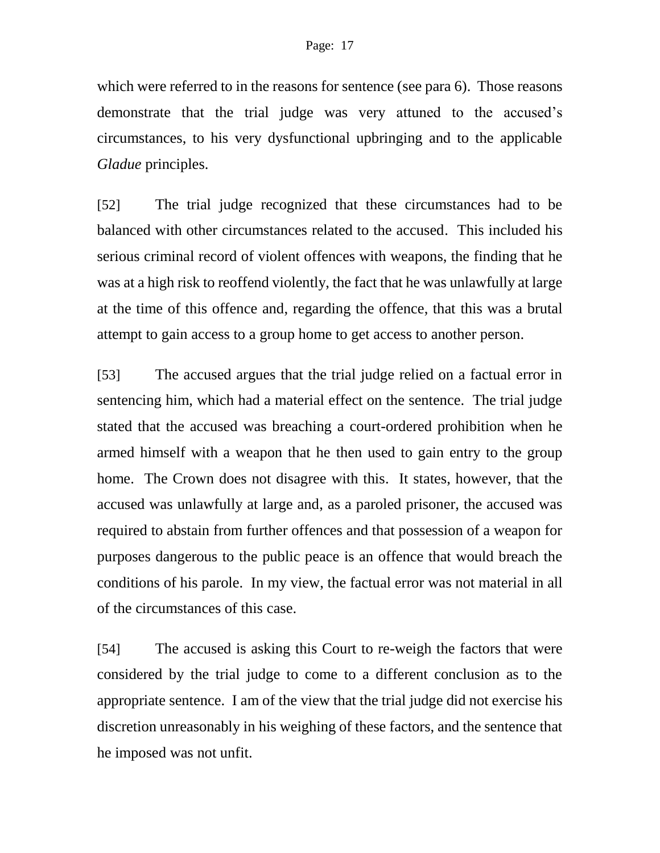which were referred to in the reasons for sentence (see para 6). Those reasons demonstrate that the trial judge was very attuned to the accused's circumstances, to his very dysfunctional upbringing and to the applicable *Gladue* principles.

[52] The trial judge recognized that these circumstances had to be balanced with other circumstances related to the accused. This included his serious criminal record of violent offences with weapons, the finding that he was at a high risk to reoffend violently, the fact that he was unlawfully at large at the time of this offence and, regarding the offence, that this was a brutal attempt to gain access to a group home to get access to another person.

[53] The accused argues that the trial judge relied on a factual error in sentencing him, which had a material effect on the sentence. The trial judge stated that the accused was breaching a court-ordered prohibition when he armed himself with a weapon that he then used to gain entry to the group home. The Crown does not disagree with this. It states, however, that the accused was unlawfully at large and, as a paroled prisoner, the accused was required to abstain from further offences and that possession of a weapon for purposes dangerous to the public peace is an offence that would breach the conditions of his parole. In my view, the factual error was not material in all of the circumstances of this case.

[54] The accused is asking this Court to re-weigh the factors that were considered by the trial judge to come to a different conclusion as to the appropriate sentence. I am of the view that the trial judge did not exercise his discretion unreasonably in his weighing of these factors, and the sentence that he imposed was not unfit.